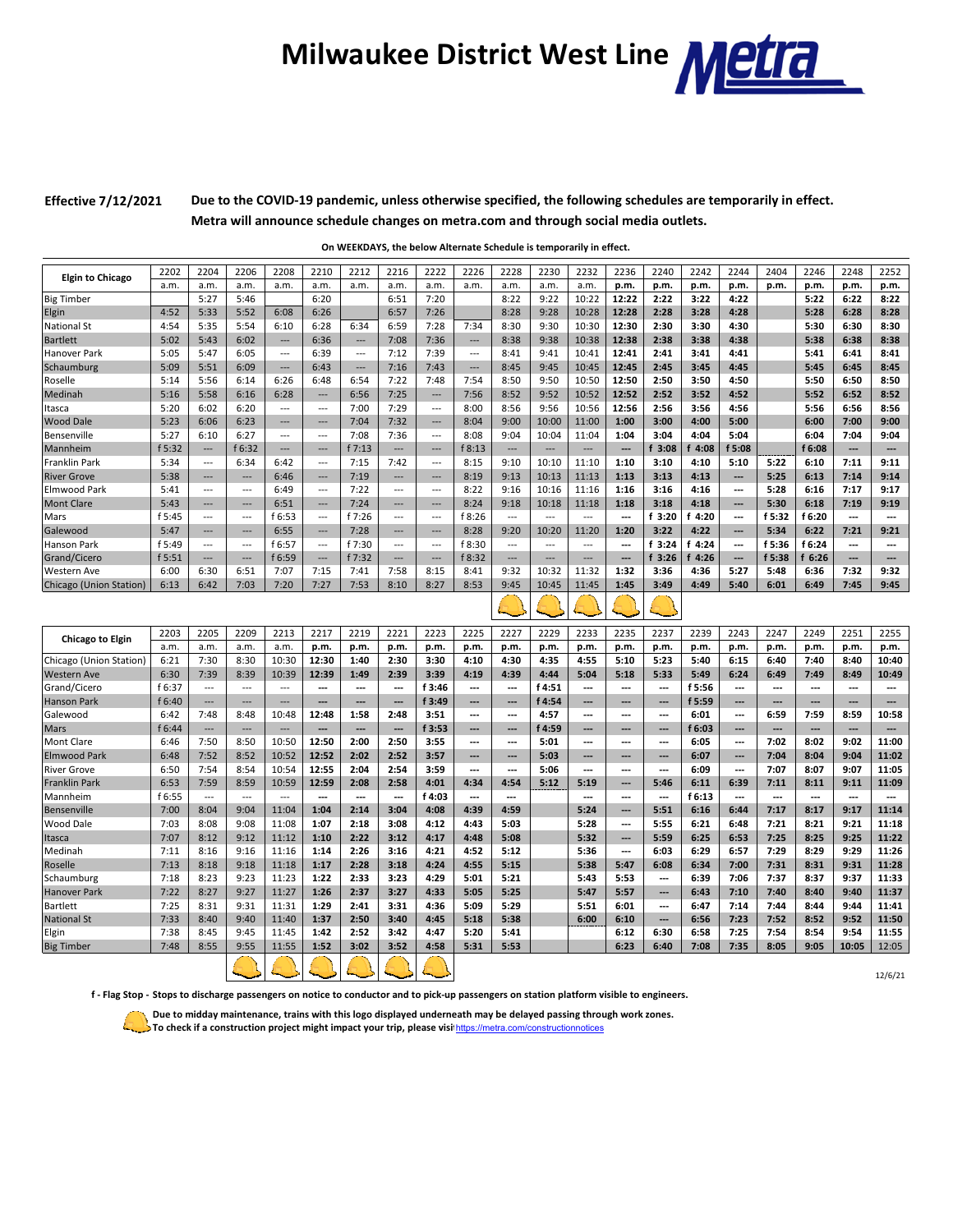## **Milwaukee District West Line Melle**

**Effective 7/12/2021**

**Due to the COVID-19 pandemic, unless otherwise specified, the following schedules are temporarily in effect. Metra will announce schedule changes on metra.com and through social media outlets.**

**On WEEKDAYS, the below Alternate Schedule is temporarily in effect.** 

|                         | 2202   | 2204                     | 2206           | 2208                     | 2210                     | 2212                     | 2216                     | 2222                     | 2226                     | 2228                     | 2230                     | 2232                     | 2236                     | 2240                     | 2242   | 2244                     | 2404           | 2246                     | 2248           | 2252                     |
|-------------------------|--------|--------------------------|----------------|--------------------------|--------------------------|--------------------------|--------------------------|--------------------------|--------------------------|--------------------------|--------------------------|--------------------------|--------------------------|--------------------------|--------|--------------------------|----------------|--------------------------|----------------|--------------------------|
| <b>Elgin to Chicago</b> | a.m.   | a.m.                     | a.m.           | a.m.                     | a.m.                     | a.m.                     | a.m.                     | a.m.                     | a.m.                     | a.m.                     | a.m.                     | a.m.                     | p.m.                     | p.m.                     | p.m.   | p.m.                     | p.m.           | p.m.                     | p.m.           | p.m.                     |
| <b>Big Timber</b>       |        | 5:27                     | 5:46           |                          | 6:20                     |                          | 6:51                     | 7:20                     |                          | 8:22                     | 9:22                     | 10:22                    | 12:22                    | 2:22                     | 3:22   | 4:22                     |                | 5:22                     | 6:22           | 8:22                     |
| Elgin                   | 4:52   | 5:33                     | 5:52           | 6:08                     | 6:26                     |                          | 6:57                     | 7:26                     |                          | 8:28                     | 9:28                     | 10:28                    | 12:28                    | 2:28                     | 3:28   | 4:28                     |                | 5:28                     | 6:28           | 8:28                     |
| <b>National St</b>      | 4:54   | 5:35                     | 5:54           | 6:10                     | 6:28                     | 6:34                     | 6:59                     | 7:28                     | 7:34                     | 8:30                     | 9:30                     | 10:30                    | 12:30                    | 2:30                     | 3:30   | 4:30                     |                | 5:30                     | 6:30           | 8:30                     |
| <b>Bartlett</b>         | 5:02   | 5:43                     | 6:02           | $\overline{\phantom{a}}$ | 6:36                     | $\overline{\phantom{a}}$ | 7:08                     | 7:36                     | $\overline{\phantom{a}}$ | 8:38                     | 9:38                     | 10:38                    | 12:38                    | 2:38                     | 3:38   | 4:38                     |                | 5:38                     | 6:38           | 8:38                     |
| Hanover Park            | 5:05   | 5:47                     | 6:05           | $\overline{a}$           | 6:39                     | $\overline{\phantom{a}}$ | 7:12                     | 7:39                     | $\overline{\phantom{a}}$ | 8:41                     | 9:41                     | 10:41                    | 12:41                    | 2:41                     | 3:41   | 4:41                     |                | 5:41                     | 6:41           | 8:41                     |
| Schaumburg              | 5:09   | 5:51                     | 6:09           | $\overline{\phantom{a}}$ | 6:43                     | $\overline{\phantom{a}}$ | 7:16                     | 7:43                     | ---                      | 8:45                     | 9:45                     | 10:45                    | 12:45                    | 2:45                     | 3:45   | 4:45                     |                | 5:45                     | 6:45           | 8:45                     |
| Roselle                 | 5:14   | 5:56                     | 6:14           | 6:26                     | 6:48                     | 6:54                     | 7:22                     | 7:48                     | 7:54                     | 8:50                     | 9:50                     | 10:50                    | 12:50                    | 2:50                     | 3:50   | 4:50                     |                | 5:50                     | 6:50           | 8:50                     |
| Medinah                 | 5:16   | 5:58                     | 6:16           | 6:28                     | $\hspace{0.05cm} \ldots$ | 6:56                     | 7:25                     | ---                      | 7:56                     | 8:52                     | 9:52                     | 10:52                    | 12:52                    | 2:52                     | 3:52   | 4:52                     |                | 5:52                     | 6:52           | 8:52                     |
| Itasca                  | 5:20   | 6:02                     | 6:20           | $\overline{a}$           | $\overline{\phantom{a}}$ | 7:00                     | 7:29                     | $\overline{a}$           | 8:00                     | 8:56                     | 9:56                     | 10:56                    | 12:56                    | 2:56                     | 3:56   | 4:56                     |                | 5:56                     | 6:56           | 8:56                     |
| <b>Wood Dale</b>        | 5:23   | 6:06                     | 6:23           | $\overline{\phantom{a}}$ | $\hspace{1.5cm} \cdots$  | 7:04                     | 7:32                     | $\hspace{1.5cm} \cdots$  | 8:04                     | 9:00                     | 10:00                    | 11:00                    | 1:00                     | 3:00                     | 4:00   | 5:00                     |                | 6:00                     | 7:00           | 9:00                     |
| Bensenville             | 5:27   | 6:10                     | 6:27           | $\overline{a}$           | $\overline{\phantom{a}}$ | 7:08                     | 7:36                     | $\overline{\phantom{a}}$ | 8:08                     | 9:04                     | 10:04                    | 11:04                    | 1:04                     | 3:04                     | 4:04   | 5:04                     |                | 6:04                     | 7:04           | 9:04                     |
| Mannheim                | f 5:32 | $\overline{\phantom{a}}$ | f 6:32         | ---                      | $\hspace{0.05cm} \cdots$ | f 7:13                   | $\overline{\phantom{a}}$ | ---                      | f 8:13                   | ---                      | ---                      | $\overline{\phantom{a}}$ | ---                      | f 3:08                   | 4:08   | f 5:08                   |                | f 6:08                   | ---            | ---                      |
| <b>Franklin Park</b>    | 5:34   | $\overline{\phantom{a}}$ | 6:34           | 6:42                     | $\overline{\phantom{a}}$ | 7:15                     | 7:42                     | $\overline{a}$           | 8:15                     | 9:10                     | 10:10                    | 11:10                    | 1:10                     | 3:10                     | 4:10   | 5:10                     | 5:22           | 6:10                     | 7:11           | 9:11                     |
| <b>River Grove</b>      | 5:38   | ---                      | ---            | 6:46                     | $\qquad \qquad \cdots$   | 7:19                     | $\overline{a}$           | ---                      | 8:19                     | 9:13                     | 10:13                    | 11:13                    | 1:13                     | 3:13                     | 4:13   | $\overline{\phantom{a}}$ | 5:25           | 6:13                     | 7:14           | 9:14                     |
| Elmwood Park            | 5:41   | $\overline{a}$           | ---            | 6:49                     | $\overline{\phantom{a}}$ | 7:22                     | $\overline{a}$           | $\overline{a}$           | 8:22                     | 9:16                     | 10:16                    | 11:16                    | 1:16                     | 3:16                     | 4:16   | $\overline{\phantom{a}}$ | 5:28           | 6:16                     | 7:17           | 9:17                     |
| <b>Mont Clare</b>       | 5:43   | ---                      | ---            | 6:51                     | $\hspace{0.05cm} \cdots$ | 7:24                     | $\hspace{0.05cm} \cdots$ | ---                      | 8:24                     | 9:18                     | 10:18                    | 11:18                    | 1:18                     | 3:18                     | 4:18   | ---                      | 5:30           | 6:18                     | 7:19           | 9:19                     |
| Mars                    | f 5:45 | $\hspace{0.05cm} \ldots$ | ---            | f 6:53                   | $\overline{a}$           | f 7:26                   | $\overline{\phantom{a}}$ | $\overline{\phantom{a}}$ | f 8:26                   | $\overline{\phantom{a}}$ | $\hspace{0.05cm} \ldots$ | $\overline{\phantom{a}}$ | $\overline{\phantom{a}}$ | f 3:20                   | f 4:20 | $\overline{\phantom{a}}$ | f 5:32         | f 6:20                   | ---            | $---$                    |
| Galewood                | 5:47   | ---                      | ---            | 6:55                     | $\hspace{0.05cm} \ldots$ | 7:28                     | $\overline{\phantom{a}}$ | ---                      | 8:28                     | 9:20                     | 10:20                    | 11:20                    | 1:20                     | 3:22                     | 4:22   | ---                      | 5:34           | 6:22                     | 7:21           | 9:21                     |
| <b>Hanson Park</b>      | f 5:49 | $\overline{\phantom{a}}$ | $\overline{a}$ | f 6:57                   | $\overline{\phantom{a}}$ | f 7:30                   | $\sim$                   | $\overline{\phantom{a}}$ | f 8:30                   | $\overline{\phantom{a}}$ | ---                      | $\overline{a}$           | ---                      | f 3:24                   | f 4:24 | ---                      | f 5:36         | f 6:24                   | ---            | ---                      |
| Grand/Cicero            | f 5:51 | $\overline{\phantom{a}}$ | ---            | f 6:59                   | $\cdots$                 | f 7:32                   | $\overline{a}$           | $\overline{\phantom{a}}$ | f 8:32                   | ---                      | $\overline{a}$           | $\overline{a}$           | ---                      | f 3:26                   | f 4:26 | ---                      | f 5:38         | f 6:26                   | ---            | ---                      |
| <b>Western Ave</b>      | 6:00   | 6:30                     | 6:51           | 7:07                     | 7:15                     | 7:41                     | 7:58                     | 8:15                     | 8:41                     | 9:32                     | 10:32                    | 11:32                    | 1:32                     | 3:36                     | 4:36   | 5:27                     | 5:48           | 6:36                     | 7:32           | 9:32                     |
| Chicago (Union Station) | 6:13   | 6:42                     | 7:03           | 7:20                     | 7:27                     | 7:53                     | 8:10                     | 8:27                     | 8:53                     | 9:45                     | 10:45                    | 11:45                    | 1:45                     | 3:49                     | 4:49   | 5:40                     | 6:01           | 6:49                     | 7:45           | 9:45                     |
|                         |        |                          |                |                          |                          |                          |                          |                          |                          |                          |                          |                          |                          |                          |        |                          |                |                          |                |                          |
|                         |        |                          |                |                          |                          |                          |                          |                          |                          |                          |                          |                          |                          |                          |        |                          |                |                          |                |                          |
|                         | 2203   | 2205                     | 2209           | 2213                     | 2217                     | 2219                     | 2221                     | 2223                     | 2225                     | 2227                     | 2229                     | 2233                     | 2235                     | 2237                     | 2239   | 2243                     | 2247           | 2249                     | 2251           | 2255                     |
| Chicago to Elgin        | a.m.   | a.m.                     | a.m.           | a.m.                     | p.m.                     | p.m.                     | p.m.                     | p.m.                     | p.m.                     | p.m.                     | p.m.                     | p.m.                     | p.m.                     | p.m.                     | p.m.   | p.m.                     | p.m.           | p.m.                     | p.m.           | p.m.                     |
| Chicago (Union Station) | 6:21   | 7:30                     | 8:30           | 10:30                    | 12:30                    | 1:40                     | 2:30                     | 3:30                     | 4:10                     | 4:30                     | 4:35                     | 4:55                     | 5:10                     | 5:23                     | 5:40   | 6:15                     | 6:40           | 7:40                     | 8:40           | 10:40                    |
| <b>Western Ave</b>      | 6:30   | 7:39                     | 8:39           | 10:39                    | 12:39                    | 1:49                     | 2:39                     | 3:39                     | 4:19                     | 4:39                     | 4:44                     | 5:04                     | 5:18                     | 5:33                     | 5:49   | 6:24                     | 6:49           | 7:49                     | 8:49           | 10:49                    |
| Grand/Cicero            | f 6:37 | $\overline{a}$           | $\overline{a}$ | $\overline{a}$           | $\overline{a}$           | $\overline{\phantom{a}}$ | $\overline{a}$           | f 3:46                   | $\overline{\phantom{a}}$ | $\overline{a}$           | f 4:51                   | ---                      | $\overline{a}$           | $\overline{a}$           | f 5:56 | $\overline{\phantom{a}}$ | $\overline{a}$ | $\overline{\phantom{a}}$ | $\overline{a}$ | $\overline{\phantom{a}}$ |
| <b>Hanson Park</b>      | f 6:40 | ---                      | ---            | ---                      | ---                      | ---                      | ---                      | f 3:49                   | ---                      | ---                      | f 4:54                   | ---                      | ---                      | ---                      | f 5:59 | ---                      | ---            | ---                      | ---            | ---                      |
| Galewood                | 6:42   | 7:48                     | 8:48           | 10:48                    | 12:48                    | 1:58                     | 2:48                     | 3:51                     | $\overline{\phantom{a}}$ | ---                      | 4:57                     | ---                      | ---                      | $---$                    | 6:01   | $\overline{\phantom{a}}$ | 6:59           | 7:59                     | 8:59           | 10:58                    |
| Mars                    | f 6:44 | ---                      |                | $\overline{a}$           | ---                      | ---                      | ---                      | f 3:53                   | ---                      | ---                      | f 4:59                   | ---                      | ---                      | ---                      | f 6:03 | ---                      | ---            | ---                      | ---            |                          |
| <b>Mont Clare</b>       | 6:46   | 7:50                     | 8:50           | 10:50                    | 12:50                    | 2:00                     | 2:50                     | 3:55                     | ---                      | ---                      | 5:01                     | ---                      | ---                      | ---                      | 6:05   | $\hspace{0.05cm} \cdots$ | 7:02           | 8:02                     | 9:02           | 11:00                    |
| <b>Elmwood Park</b>     | 6:48   | 7:52                     | 8:52           | 10:52                    | 12:52                    | 2:02                     | 2:52                     | 3:57                     | ---                      | ---                      | 5:03                     | ---                      | ---                      | ---                      | 6:07   | ---                      | 7:04           | 8:04                     | 9:04           | 11:02                    |
| <b>River Grove</b>      | 6:50   | 7:54                     | 8:54           | 10:54                    | 12:55                    | 2:04                     | 2:54                     | 3:59                     | $\overline{a}$           | $\overline{a}$           | 5:06                     | ---                      | ---                      | $\overline{\phantom{a}}$ | 6:09   | $\overline{\phantom{a}}$ | 7:07           | 8:07                     | 9:07           | 11:05                    |
| <b>Franklin Park</b>    | 6:53   | 7:59                     | 8:59           | 10:59                    | 12:59                    | 2:08                     | 2:58                     | 4:01                     | 4:34                     | 4:54                     | 5:12                     | 5:19                     | ---                      | 5:46                     | 6:11   | 6:39                     | 7:11           | 8:11                     | 9:11           | 11:09                    |
| Mannheim                | f 6:55 | $\sim$                   | $\sim$         | $---$                    | $\overline{a}$           | $\overline{a}$           | $\overline{a}$           | f 4:03                   | $\overline{a}$           | $\overline{a}$           |                          | ---                      | $\overline{a}$           | $\overline{a}$           | f 6:13 | $\overline{\phantom{a}}$ | $\overline{a}$ | $\overline{a}$           | $\overline{a}$ | $\overline{a}$           |
| Bensenville             | 7:00   | 8:04                     | 9:04           | 11:04                    | 1:04                     | 2:14                     | 3:04                     | 4:08                     | 4:39                     | 4:59                     |                          | 5:24                     | ---                      | 5:51                     | 6:16   | 6:44                     | 7:17           | 8:17                     | 9:17           | 11:14                    |
| Wood Dale               | 7:03   | 8:08                     | 9:08           | 11:08                    | 1:07                     | 2:18                     | 3:08                     | 4:12                     | 4:43                     | 5:03                     |                          | 5:28                     | ---                      | 5:55                     | 6:21   | 6:48                     | 7:21           | 8:21                     | 9:21           | 11:18                    |
| Itasca                  | 7:07   | 8:12                     | 9:12           | 11:12                    | 1:10                     | 2:22                     | 3:12                     | 4:17                     | 4:48                     | 5:08                     |                          | 5:32                     | ---                      | 5:59                     | 6:25   | 6:53                     | 7:25           | 8:25                     | 9:25           | 11:22                    |
| Medinah                 | 7:11   | 8:16                     | 9:16           | 11:16                    | 1:14                     | 2:26                     | 3:16                     | 4:21                     | 4:52                     | 5:12                     |                          | 5:36                     | ---                      | 6:03                     | 6:29   | 6:57                     | 7:29           | 8:29                     | 9:29           | 11:26                    |
| Roselle                 | 7:13   | 8:18                     | 9:18           | 11:18                    | 1:17                     | 2:28                     | 3:18                     | 4:24                     | 4:55                     | 5:15                     |                          | 5:38                     | 5:47                     | 6:08                     | 6:34   | 7:00                     | 7:31           | 8:31                     | 9:31           | 11:28                    |
| Schaumburg              | 7:18   | 8:23                     | 9:23           | 11:23                    | 1:22                     | 2:33                     | 3:23                     | 4:29                     | 5:01                     | 5:21                     |                          | 5:43                     | 5:53                     | $---$                    | 6:39   | 7:06                     | 7:37           | 8:37                     | 9:37           | 11:33                    |
| <b>Hanover Park</b>     | 7:22   | 8:27                     | 9:27           | 11:27                    | 1:26                     | 2:37                     | 3:27                     | 4:33                     | 5:05                     | 5:25                     |                          | 5:47                     | 5:57                     | ---                      | 6:43   | 7:10                     | 7:40           | 8:40                     | 9:40           | 11:37                    |
| <b>Bartlett</b>         | 7:25   | 8:31                     | 9:31           | 11:31                    | 1:29                     | 2:41                     | 3:31                     | 4:36                     | 5:09                     | 5:29                     |                          | 5:51                     | 6:01                     | ---                      | 6:47   | 7:14                     | 7:44           | 8:44                     | 9:44           | 11:41                    |
| <b>National St</b>      | 7:33   | 8:40                     | 9:40           | 11:40                    | 1:37                     | 2:50                     | 3:40                     | 4:45                     | 5:18                     | 5:38                     |                          | 6:00                     | 6:10                     | ---                      | 6:56   | 7:23                     | 7:52           | 8:52                     | 9:52           | 11:50                    |
| Elgin                   | 7:38   | 8:45                     | 9:45           | 11:45                    | 1:42                     | 2:52                     | 3:42                     | 4:47                     | 5:20                     | 5:41                     |                          |                          | 6:12                     | 6:30                     | 6:58   | 7:25                     | 7:54           | 8:54                     | 9:54           | 11:55                    |
| <b>Big Timber</b>       | 7:48   | 8:55                     | 9:55           | 11:55                    | 1:52                     | 3:02                     | 3:52                     | 4:58                     | 5:31                     | 5:53                     |                          |                          | 6:23                     | 6:40                     | 7:08   | 7:35                     | 8:05           | 9:05                     | 10:05          | 12:05                    |
|                         |        |                          |                |                          |                          |                          |                          |                          |                          |                          |                          |                          |                          |                          |        |                          |                |                          |                | 12/6/21                  |

**f - Flag Stop - Stops to discharge passengers on notice to conductor and to pick-up passengers on station platform visible to engineers.**

**Due to midday maintenance, trains with this logo displayed underneath may be delayed passing through work zones.** 

12/6/21

**To check if a construction project might impact your trip, please visit**https://metra.com/constructionnotices